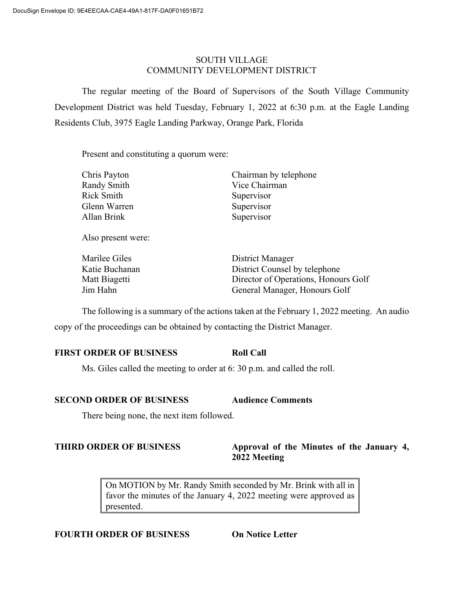## SOUTH VILLAGE COMMUNITY DEVELOPMENT DISTRICT

The regular meeting of the Board of Supervisors of the South Village Community Development District was held Tuesday, February 1, 2022 at 6:30 p.m. at the Eagle Landing Residents Club, 3975 Eagle Landing Parkway, Orange Park, Florida

Present and constituting a quorum were:

| Chris Payton | Chairman by telephone |
|--------------|-----------------------|
| Randy Smith  | Vice Chairman         |
| Rick Smith   | Supervisor            |
| Glenn Warren | Supervisor            |
| Allan Brink  | Supervisor            |
|              |                       |

Also present were:

| Marilee Giles  | District Manager                     |
|----------------|--------------------------------------|
| Katie Buchanan | District Counsel by telephone        |
| Matt Biagetti  | Director of Operations, Honours Golf |
| Jim Hahn       | General Manager, Honours Golf        |

The following is a summary of the actions taken at the February 1, 2022 meeting. An audio copy of the proceedings can be obtained by contacting the District Manager.

# **FIRST ORDER OF BUSINESS Roll Call**

Ms. Giles called the meeting to order at 6: 30 p.m. and called the roll.

## **SECOND ORDER OF BUSINESS Audience Comments**

There being none, the next item followed.

## **THIRD ORDER OF BUSINESS Approval of the Minutes of the January 4, 2022 Meeting**

On MOTION by Mr. Randy Smith seconded by Mr. Brink with all in favor the minutes of the January 4, 2022 meeting were approved as presented.

## **FOURTH ORDER OF BUSINESS On Notice Letter**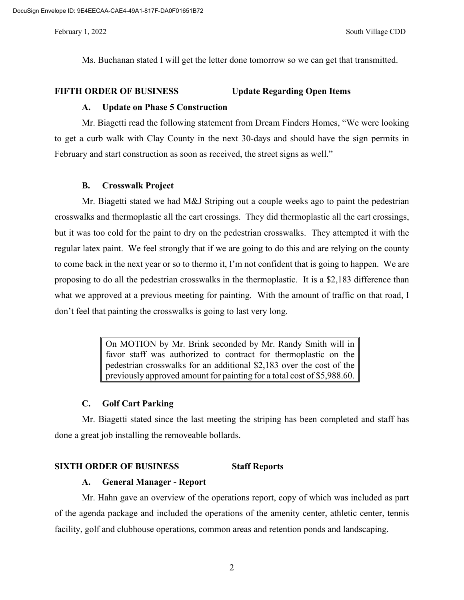Ms. Buchanan stated I will get the letter done tomorrow so we can get that transmitted.

### **FIFTH ORDER OF BUSINESS Update Regarding Open Items**

#### **A. Update on Phase 5 Construction**

Mr. Biagetti read the following statement from Dream Finders Homes, "We were looking to get a curb walk with Clay County in the next 30-days and should have the sign permits in February and start construction as soon as received, the street signs as well."

#### **B. Crosswalk Project**

Mr. Biagetti stated we had M&J Striping out a couple weeks ago to paint the pedestrian crosswalks and thermoplastic all the cart crossings. They did thermoplastic all the cart crossings, but it was too cold for the paint to dry on the pedestrian crosswalks. They attempted it with the regular latex paint. We feel strongly that if we are going to do this and are relying on the county to come back in the next year or so to thermo it, I'm not confident that is going to happen. We are proposing to do all the pedestrian crosswalks in the thermoplastic. It is a \$2,183 difference than what we approved at a previous meeting for painting. With the amount of traffic on that road, I don't feel that painting the crosswalks is going to last very long.

> On MOTION by Mr. Brink seconded by Mr. Randy Smith will in favor staff was authorized to contract for thermoplastic on the pedestrian crosswalks for an additional \$2,183 over the cost of the previously approved amount for painting for a total cost of \$5,988.60.

## **C. Golf Cart Parking**

Mr. Biagetti stated since the last meeting the striping has been completed and staff has done a great job installing the removeable bollards.

#### **SIXTH ORDER OF BUSINESS Staff Reports**

#### **A. General Manager - Report**

Mr. Hahn gave an overview of the operations report, copy of which was included as part of the agenda package and included the operations of the amenity center, athletic center, tennis facility, golf and clubhouse operations, common areas and retention ponds and landscaping.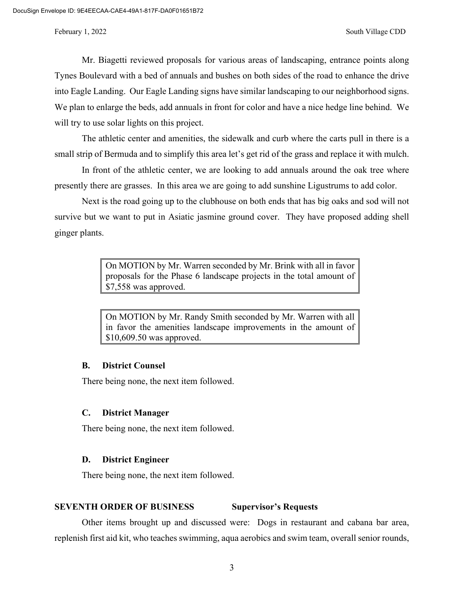Mr. Biagetti reviewed proposals for various areas of landscaping, entrance points along Tynes Boulevard with a bed of annuals and bushes on both sides of the road to enhance the drive into Eagle Landing. Our Eagle Landing signs have similar landscaping to our neighborhood signs. We plan to enlarge the beds, add annuals in front for color and have a nice hedge line behind. We will try to use solar lights on this project.

The athletic center and amenities, the sidewalk and curb where the carts pull in there is a small strip of Bermuda and to simplify this area let's get rid of the grass and replace it with mulch.

In front of the athletic center, we are looking to add annuals around the oak tree where presently there are grasses. In this area we are going to add sunshine Ligustrums to add color.

Next is the road going up to the clubhouse on both ends that has big oaks and sod will not survive but we want to put in Asiatic jasmine ground cover. They have proposed adding shell ginger plants.

> On MOTION by Mr. Warren seconded by Mr. Brink with all in favor proposals for the Phase 6 landscape projects in the total amount of \$7,558 was approved.

> On MOTION by Mr. Randy Smith seconded by Mr. Warren with all in favor the amenities landscape improvements in the amount of \$10,609.50 was approved.

#### **B. District Counsel**

There being none, the next item followed.

#### **C. District Manager**

There being none, the next item followed.

#### **D. District Engineer**

There being none, the next item followed.

#### **SEVENTH ORDER OF BUSINESS Supervisor's Requests**

Other items brought up and discussed were: Dogs in restaurant and cabana bar area, replenish first aid kit, who teaches swimming, aqua aerobics and swim team, overall senior rounds,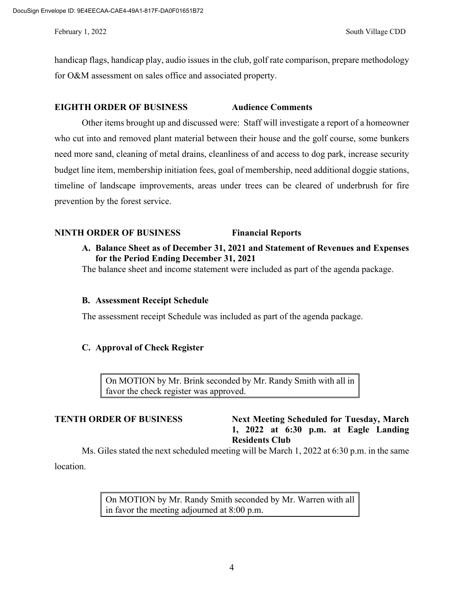handicap flags, handicap play, audio issues in the club, golf rate comparison, prepare methodology for O&M assessment on sales office and associated property.

### **EIGHTH ORDER OF BUSINESS Audience Comments**

Other items brought up and discussed were: Staff will investigate a report of a homeowner who cut into and removed plant material between their house and the golf course, some bunkers need more sand, cleaning of metal drains, cleanliness of and access to dog park, increase security budget line item, membership initiation fees, goal of membership, need additional doggie stations, timeline of landscape improvements, areas under trees can be cleared of underbrush for fire prevention by the forest service.

## **NINTH ORDER OF BUSINESS Financial Reports**

**A. Balance Sheet as of December 31, 2021 and Statement of Revenues and Expenses for the Period Ending December 31, 2021**

The balance sheet and income statement were included as part of the agenda package.

### **B. Assessment Receipt Schedule**

The assessment receipt Schedule was included as part of the agenda package.

### **C. Approval of Check Register**

On MOTION by Mr. Brink seconded by Mr. Randy Smith with all in favor the check register was approved.

## **TENTH ORDER OF BUSINESS Next Meeting Scheduled for Tuesday, March 1, 2022 at 6:30 p.m. at Eagle Landing Residents Club**

Ms. Giles stated the next scheduled meeting will be March 1, 2022 at 6:30 p.m. in the same

location.

On MOTION by Mr. Randy Smith seconded by Mr. Warren with all in favor the meeting adjourned at 8:00 p.m.